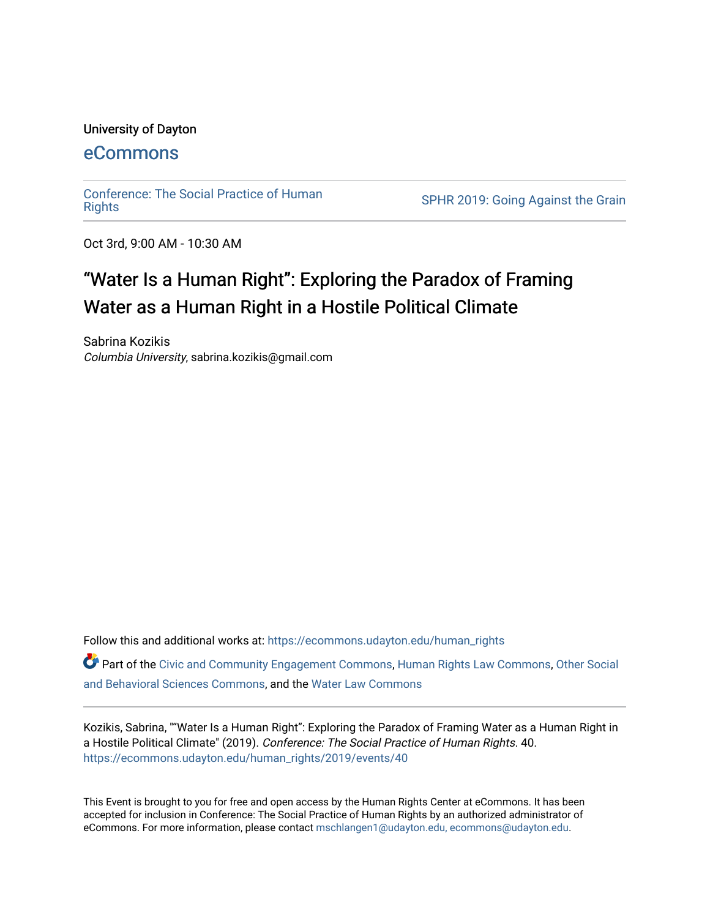#### University of Dayton

### [eCommons](https://ecommons.udayton.edu/)

[Conference: The Social Practice of Human](https://ecommons.udayton.edu/human_rights)

SPHR 2019: Going Against the Grain

Oct 3rd, 9:00 AM - 10:30 AM

# "Water Is a Human Right": Exploring the Paradox of Framing Water as a Human Right in a Hostile Political Climate

Sabrina Kozikis Columbia University, sabrina.kozikis@gmail.com

Follow this and additional works at: [https://ecommons.udayton.edu/human\\_rights](https://ecommons.udayton.edu/human_rights?utm_source=ecommons.udayton.edu%2Fhuman_rights%2F2019%2Fevents%2F40&utm_medium=PDF&utm_campaign=PDFCoverPages) Part of the [Civic and Community Engagement Commons](http://network.bepress.com/hgg/discipline/1028?utm_source=ecommons.udayton.edu%2Fhuman_rights%2F2019%2Fevents%2F40&utm_medium=PDF&utm_campaign=PDFCoverPages), [Human Rights Law Commons](http://network.bepress.com/hgg/discipline/847?utm_source=ecommons.udayton.edu%2Fhuman_rights%2F2019%2Fevents%2F40&utm_medium=PDF&utm_campaign=PDFCoverPages), [Other Social](http://network.bepress.com/hgg/discipline/437?utm_source=ecommons.udayton.edu%2Fhuman_rights%2F2019%2Fevents%2F40&utm_medium=PDF&utm_campaign=PDFCoverPages)  [and Behavioral Sciences Commons,](http://network.bepress.com/hgg/discipline/437?utm_source=ecommons.udayton.edu%2Fhuman_rights%2F2019%2Fevents%2F40&utm_medium=PDF&utm_campaign=PDFCoverPages) and the [Water Law Commons](http://network.bepress.com/hgg/discipline/887?utm_source=ecommons.udayton.edu%2Fhuman_rights%2F2019%2Fevents%2F40&utm_medium=PDF&utm_campaign=PDFCoverPages)

Kozikis, Sabrina, ""Water Is a Human Right": Exploring the Paradox of Framing Water as a Human Right in a Hostile Political Climate" (2019). Conference: The Social Practice of Human Rights. 40. [https://ecommons.udayton.edu/human\\_rights/2019/events/40](https://ecommons.udayton.edu/human_rights/2019/events/40?utm_source=ecommons.udayton.edu%2Fhuman_rights%2F2019%2Fevents%2F40&utm_medium=PDF&utm_campaign=PDFCoverPages) 

This Event is brought to you for free and open access by the Human Rights Center at eCommons. It has been accepted for inclusion in Conference: The Social Practice of Human Rights by an authorized administrator of eCommons. For more information, please contact [mschlangen1@udayton.edu, ecommons@udayton.edu.](mailto:mschlangen1@udayton.edu,%20ecommons@udayton.edu)